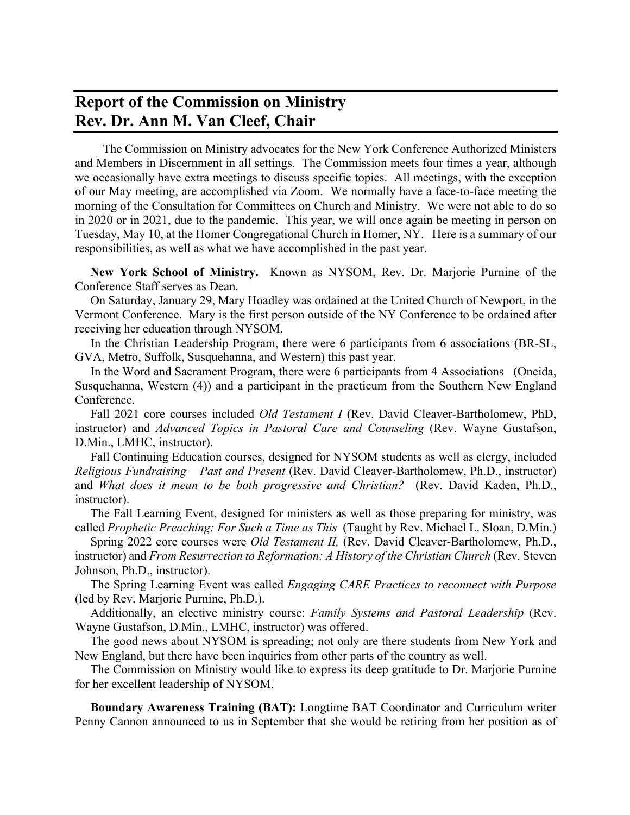## **Report of the Commission on Ministry Rev. Dr. Ann M. Van Cleef, Chair**

 The Commission on Ministry advocates for the New York Conference Authorized Ministers and Members in Discernment in all settings. The Commission meets four times a year, although we occasionally have extra meetings to discuss specific topics. All meetings, with the exception of our May meeting, are accomplished via Zoom. We normally have a face-to-face meeting the morning of the Consultation for Committees on Church and Ministry. We were not able to do so in 2020 or in 2021, due to the pandemic. This year, we will once again be meeting in person on Tuesday, May 10, at the Homer Congregational Church in Homer, NY. Here is a summary of our responsibilities, as well as what we have accomplished in the past year.

 **New York School of Ministry.** Known as NYSOM, Rev. Dr. Marjorie Purnine of the Conference Staff serves as Dean.

 On Saturday, January 29, Mary Hoadley was ordained at the United Church of Newport, in the Vermont Conference. Mary is the first person outside of the NY Conference to be ordained after receiving her education through NYSOM.

 In the Christian Leadership Program, there were 6 participants from 6 associations (BR-SL, GVA, Metro, Suffolk, Susquehanna, and Western) this past year.

 In the Word and Sacrament Program, there were 6 participants from 4 Associations (Oneida, Susquehanna, Western (4)) and a participant in the practicum from the Southern New England Conference.

 Fall 2021 core courses included *Old Testament I* (Rev. David Cleaver-Bartholomew, PhD, instructor) and *Advanced Topics in Pastoral Care and Counseling* (Rev. Wayne Gustafson, D.Min., LMHC, instructor).

 Fall Continuing Education courses, designed for NYSOM students as well as clergy, included *Religious Fundraising – Past and Present* (Rev. David Cleaver-Bartholomew, Ph.D., instructor) and *What does it mean to be both progressive and Christian?* (Rev. David Kaden, Ph.D., instructor).

 The Fall Learning Event, designed for ministers as well as those preparing for ministry, was called *Prophetic Preaching: For Such a Time as This* (Taught by Rev. Michael L. Sloan, D.Min.)

 Spring 2022 core courses were *Old Testament II,* (Rev. David Cleaver-Bartholomew, Ph.D., instructor) and *From Resurrection to Reformation: A History of the Christian Church* (Rev. Steven Johnson, Ph.D., instructor).

 The Spring Learning Event was called *Engaging CARE Practices to reconnect with Purpose* (led by Rev. Marjorie Purnine, Ph.D.).

 Additionally, an elective ministry course: *Family Systems and Pastoral Leadership* (Rev. Wayne Gustafson, D.Min., LMHC, instructor) was offered.

 The good news about NYSOM is spreading; not only are there students from New York and New England, but there have been inquiries from other parts of the country as well.

 The Commission on Ministry would like to express its deep gratitude to Dr. Marjorie Purnine for her excellent leadership of NYSOM.

 **Boundary Awareness Training (BAT):** Longtime BAT Coordinator and Curriculum writer Penny Cannon announced to us in September that she would be retiring from her position as of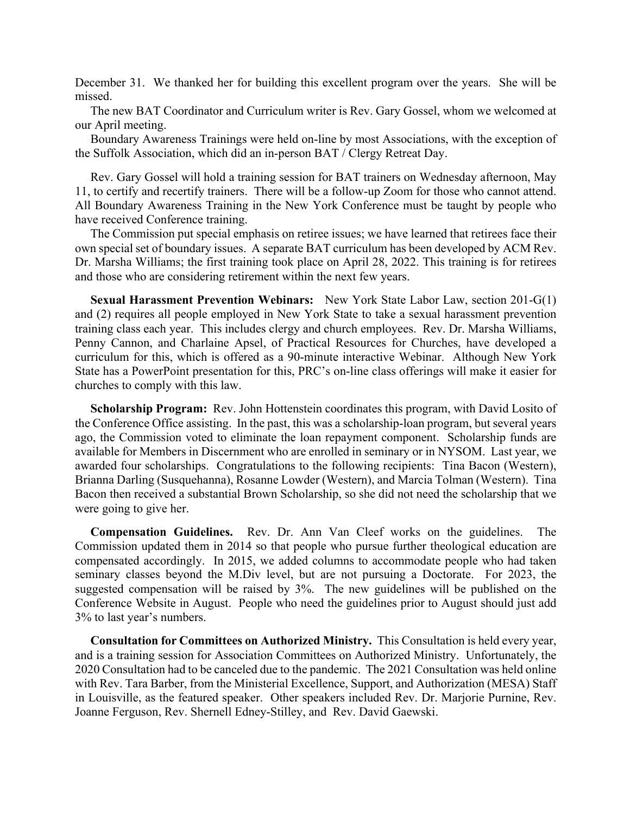December 31. We thanked her for building this excellent program over the years. She will be missed.

 The new BAT Coordinator and Curriculum writer is Rev. Gary Gossel, whom we welcomed at our April meeting.

 Boundary Awareness Trainings were held on-line by most Associations, with the exception of the Suffolk Association, which did an in-person BAT / Clergy Retreat Day.

Rev. Gary Gossel will hold a training session for BAT trainers on Wednesday afternoon, May 11, to certify and recertify trainers. There will be a follow-up Zoom for those who cannot attend. All Boundary Awareness Training in the New York Conference must be taught by people who have received Conference training.

 The Commission put special emphasis on retiree issues; we have learned that retirees face their own special set of boundary issues. A separate BAT curriculum has been developed by ACM Rev. Dr. Marsha Williams; the first training took place on April 28, 2022. This training is for retirees and those who are considering retirement within the next few years.

 **Sexual Harassment Prevention Webinars:** New York State Labor Law, section 201-G(1) and (2) requires all people employed in New York State to take a sexual harassment prevention training class each year. This includes clergy and church employees. Rev. Dr. Marsha Williams, Penny Cannon, and Charlaine Apsel, of Practical Resources for Churches, have developed a curriculum for this, which is offered as a 90-minute interactive Webinar. Although New York State has a PowerPoint presentation for this, PRC's on-line class offerings will make it easier for churches to comply with this law.

 **Scholarship Program:** Rev. John Hottenstein coordinates this program, with David Losito of the Conference Office assisting. In the past, this was a scholarship-loan program, but several years ago, the Commission voted to eliminate the loan repayment component. Scholarship funds are available for Members in Discernment who are enrolled in seminary or in NYSOM. Last year, we awarded four scholarships. Congratulations to the following recipients: Tina Bacon (Western), Brianna Darling (Susquehanna), Rosanne Lowder (Western), and Marcia Tolman (Western). Tina Bacon then received a substantial Brown Scholarship, so she did not need the scholarship that we were going to give her.

 **Compensation Guidelines.** Rev. Dr. Ann Van Cleef works on the guidelines. The Commission updated them in 2014 so that people who pursue further theological education are compensated accordingly. In 2015, we added columns to accommodate people who had taken seminary classes beyond the M.Div level, but are not pursuing a Doctorate. For 2023, the suggested compensation will be raised by 3%. The new guidelines will be published on the Conference Website in August. People who need the guidelines prior to August should just add 3% to last year's numbers.

 **Consultation for Committees on Authorized Ministry.** This Consultation is held every year, and is a training session for Association Committees on Authorized Ministry. Unfortunately, the 2020 Consultation had to be canceled due to the pandemic. The 2021 Consultation was held online with Rev. Tara Barber, from the Ministerial Excellence, Support, and Authorization (MESA) Staff in Louisville, as the featured speaker. Other speakers included Rev. Dr. Marjorie Purnine, Rev. Joanne Ferguson, Rev. Shernell Edney-Stilley, and Rev. David Gaewski.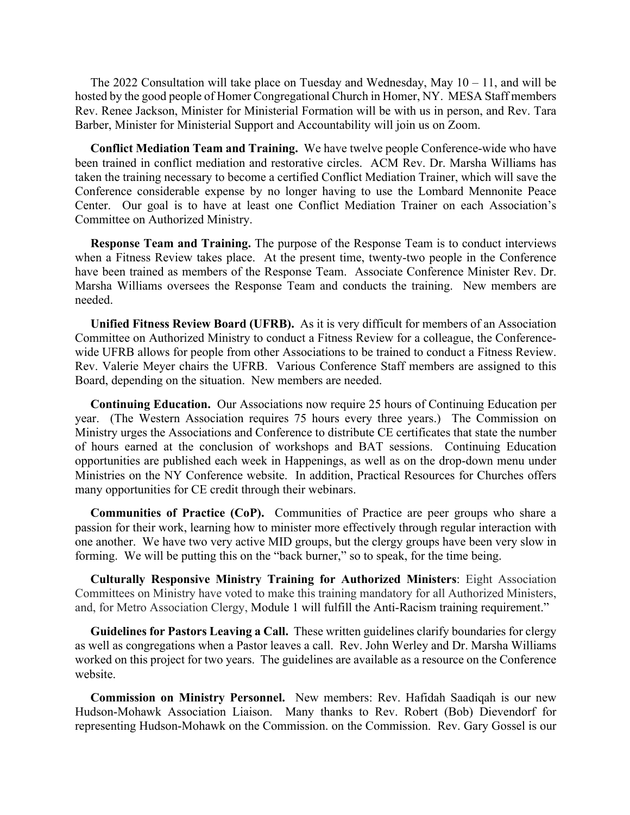The 2022 Consultation will take place on Tuesday and Wednesday, May  $10 - 11$ , and will be hosted by the good people of Homer Congregational Church in Homer, NY. MESA Staff members Rev. Renee Jackson, Minister for Ministerial Formation will be with us in person, and Rev. Tara Barber, Minister for Ministerial Support and Accountability will join us on Zoom.

 **Conflict Mediation Team and Training.** We have twelve people Conference-wide who have been trained in conflict mediation and restorative circles. ACM Rev. Dr. Marsha Williams has taken the training necessary to become a certified Conflict Mediation Trainer, which will save the Conference considerable expense by no longer having to use the Lombard Mennonite Peace Center. Our goal is to have at least one Conflict Mediation Trainer on each Association's Committee on Authorized Ministry.

 **Response Team and Training.** The purpose of the Response Team is to conduct interviews when a Fitness Review takes place. At the present time, twenty-two people in the Conference have been trained as members of the Response Team. Associate Conference Minister Rev. Dr. Marsha Williams oversees the Response Team and conducts the training. New members are needed.

 **Unified Fitness Review Board (UFRB).** As it is very difficult for members of an Association Committee on Authorized Ministry to conduct a Fitness Review for a colleague, the Conferencewide UFRB allows for people from other Associations to be trained to conduct a Fitness Review. Rev. Valerie Meyer chairs the UFRB. Various Conference Staff members are assigned to this Board, depending on the situation. New members are needed.

 **Continuing Education.** Our Associations now require 25 hours of Continuing Education per year. (The Western Association requires 75 hours every three years.) The Commission on Ministry urges the Associations and Conference to distribute CE certificates that state the number of hours earned at the conclusion of workshops and BAT sessions. Continuing Education opportunities are published each week in Happenings, as well as on the drop-down menu under Ministries on the NY Conference website. In addition, Practical Resources for Churches offers many opportunities for CE credit through their webinars.

 **Communities of Practice (CoP).** Communities of Practice are peer groups who share a passion for their work, learning how to minister more effectively through regular interaction with one another. We have two very active MID groups, but the clergy groups have been very slow in forming. We will be putting this on the "back burner," so to speak, for the time being.

 **Culturally Responsive Ministry Training for Authorized Ministers**: Eight Association Committees on Ministry have voted to make this training mandatory for all Authorized Ministers, and, for Metro Association Clergy, Module 1 will fulfill the Anti-Racism training requirement."

 **Guidelines for Pastors Leaving a Call.** These written guidelines clarify boundaries for clergy as well as congregations when a Pastor leaves a call. Rev. John Werley and Dr. Marsha Williams worked on this project for two years. The guidelines are available as a resource on the Conference website.

 **Commission on Ministry Personnel.** New members: Rev. Hafidah Saadiqah is our new Hudson-Mohawk Association Liaison. Many thanks to Rev. Robert (Bob) Dievendorf for representing Hudson-Mohawk on the Commission. on the Commission. Rev. Gary Gossel is our